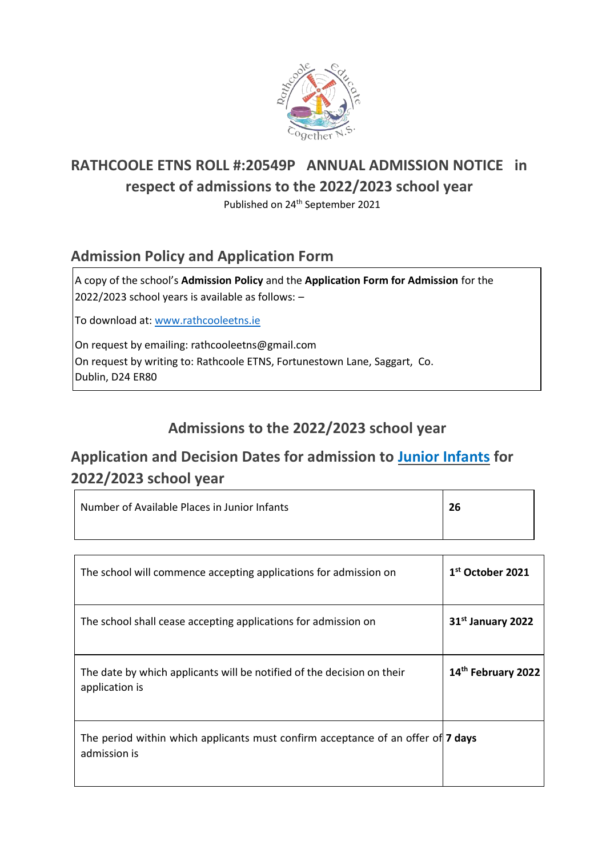

# **RATHCOOLE ETNS ROLL #:20549P ANNUAL ADMISSION NOTICE in respect of admissions to the 2022/2023 school year**

Published on 24<sup>th</sup> September 2021

#### **Admission Policy and Application Form**

A copy of the school's **Admission Policy** and the **Application Form for Admission** for the 2022/2023 school years is available as follows: –

To download at: www.rathcooleetns.ie

On request by emailing: rathcooleetns@gmail.com On request by writing to: Rathcoole ETNS, Fortunestown Lane, Saggart, Co. Dublin, D24 ER80

### **Admissions to the 2022/2023 school year**

## **Application and Decision Dates for admission to Junior Infants for 2022/2023 school year**

| Number of Available Places in Junior Infants                                                            | 26                            |
|---------------------------------------------------------------------------------------------------------|-------------------------------|
|                                                                                                         |                               |
| The school will commence accepting applications for admission on                                        | $1st$ October 2021            |
| The school shall cease accepting applications for admission on                                          | 31 <sup>st</sup> January 2022 |
| The date by which applicants will be notified of the decision on their<br>application is                | 14th February 2022            |
| The period within which applicants must confirm acceptance of an offer of <b>7 days</b><br>admission is |                               |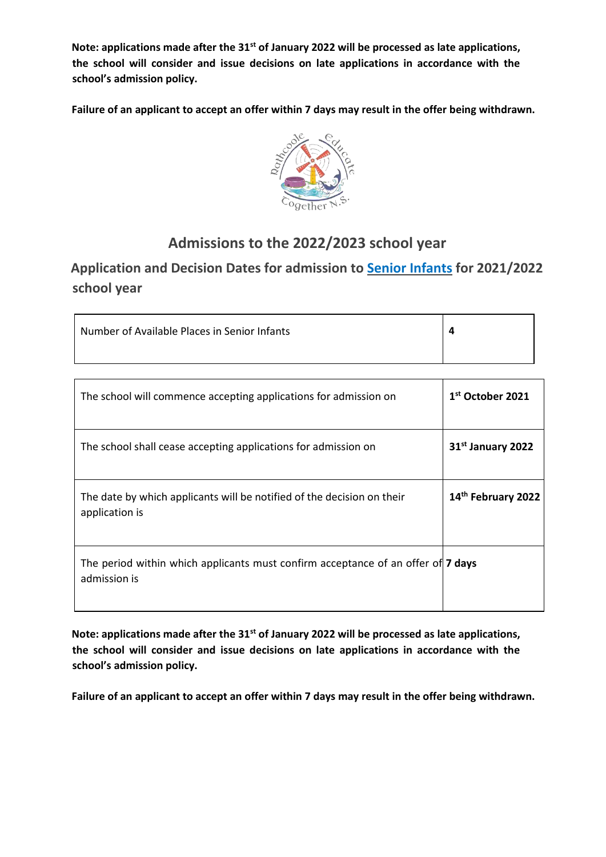**Note: applications made after the 31st of January 2022 will be processed as late applications, the school will consider and issue decisions on late applications in accordance with the school's admission policy.** 

**Failure of an applicant to accept an offer within 7 days may result in the offer being withdrawn.** 



#### **Admissions to the 2022/2023 school year**

#### **Application and Decision Dates for admission to Senior Infants for 2021/2022 school year**

| Number of Available Places in Senior Infants |  |
|----------------------------------------------|--|
|                                              |  |

| The school will commence accepting applications for admission on                                 | 1 <sup>st</sup> October 2021  |
|--------------------------------------------------------------------------------------------------|-------------------------------|
| The school shall cease accepting applications for admission on                                   | 31 <sup>st</sup> January 2022 |
| The date by which applicants will be notified of the decision on their<br>application is         | 14th February 2022            |
| The period within which applicants must confirm acceptance of an offer of 7 days<br>admission is |                               |

**Note: applications made after the 31st of January 2022 will be processed as late applications, the school will consider and issue decisions on late applications in accordance with the school's admission policy.** 

**Failure of an applicant to accept an offer within 7 days may result in the offer being withdrawn.**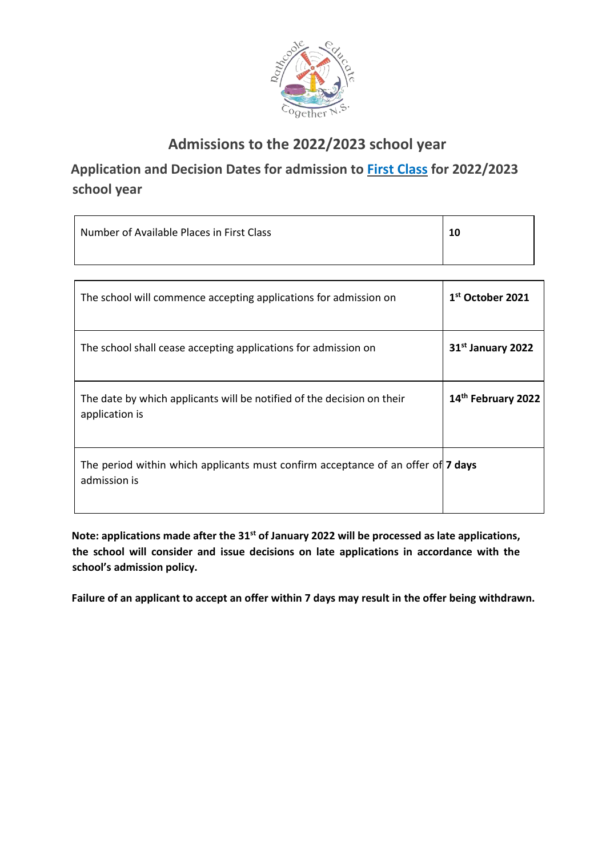

### **Admissions to the 2022/2023 school year**

**Application and Decision Dates for admission to First Class for 2022/2023 school year** 

| Number of Available Places in First Class | 10 |
|-------------------------------------------|----|
|                                           |    |

| The school will commence accepting applications for admission on                                 | 1st October 2021              |
|--------------------------------------------------------------------------------------------------|-------------------------------|
| The school shall cease accepting applications for admission on                                   | 31 <sup>st</sup> January 2022 |
| The date by which applicants will be notified of the decision on their<br>application is         | 14th February 2022            |
| The period within which applicants must confirm acceptance of an offer of 7 days<br>admission is |                               |

**Note: applications made after the 31st of January 2022 will be processed as late applications, the school will consider and issue decisions on late applications in accordance with the school's admission policy.** 

**Failure of an applicant to accept an offer within 7 days may result in the offer being withdrawn.**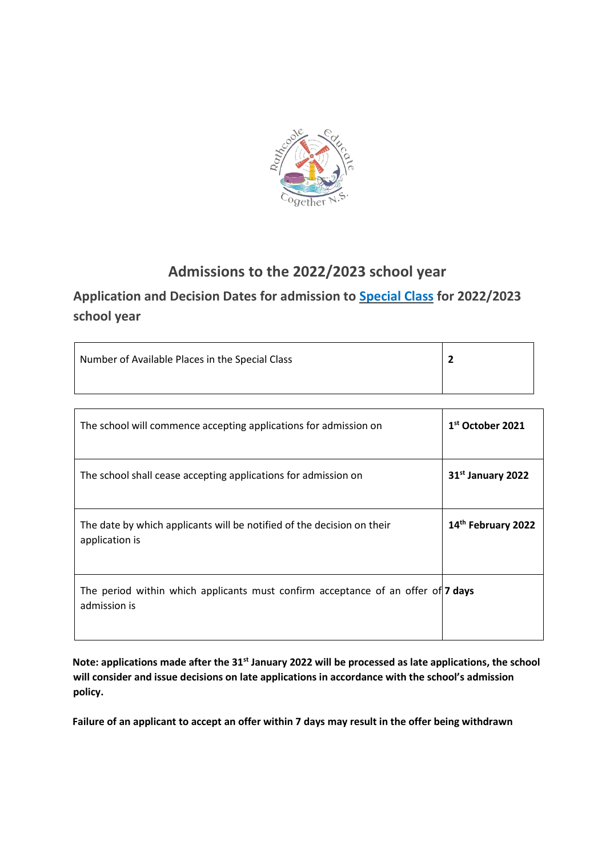

### **Admissions to the 2022/2023 school year**

### **Application and Decision Dates for admission to Special Class for 2022/2023 school year**

| Number of Available Places in the Special Class |  |
|-------------------------------------------------|--|
|                                                 |  |

| The school will commence accepting applications for admission on                                 | 1 <sup>st</sup> October 2021  |
|--------------------------------------------------------------------------------------------------|-------------------------------|
| The school shall cease accepting applications for admission on                                   | 31 <sup>st</sup> January 2022 |
| The date by which applicants will be notified of the decision on their<br>application is         | 14th February 2022            |
| The period within which applicants must confirm acceptance of an offer of 7 days<br>admission is |                               |

**Note: applications made after the 31st January 2022 will be processed as late applications, the school will consider and issue decisions on late applications in accordance with the school's admission policy.** 

**Failure of an applicant to accept an offer within 7 days may result in the offer being withdrawn**